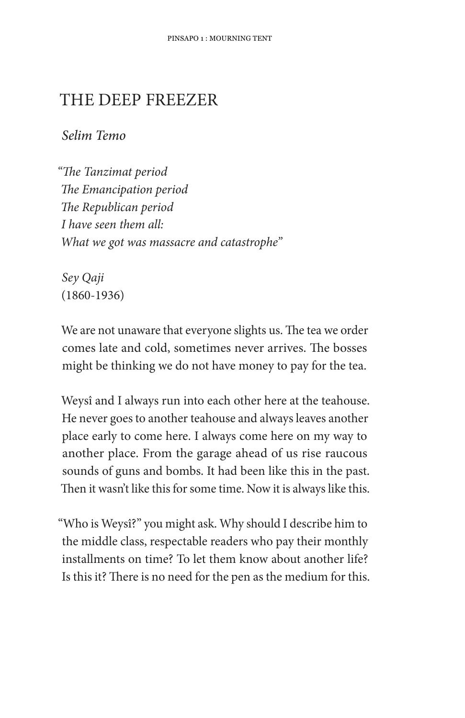## THE DEEP FREEZER

Selim Temo

"The Tanzimat period The Emancipation period The Republican period I have seen them all: What we got was massacre and catastrophe"

Sey Qaji  $(1860 - 1936)$ 

We are not unaware that everyone slights us. The tea we order comes late and cold, sometimes never arrives. The bosses might be thinking we do not have money to pay for the tea.

Weysî and I always run into each other here at the teahouse. He never goes to another teahouse and always leaves another place early to come here. I always come here on my way to another place. From the garage ahead of us rise raucous sounds of guns and bombs. It had been like this in the past. Then it wasn't like this for some time. Now it is always like this.

"Who is Weysî?" you might ask. Why should I describe him to the middle class, respectable readers who pay their monthly installments on time? To let them know about another life? Is this it? There is no need for the pen as the medium for this.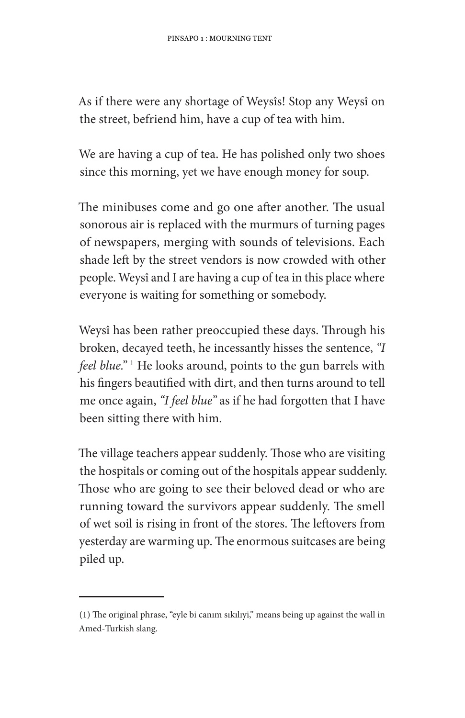As if there were any shortage of Weysîs! Stop any Weysî on the street, befriend him, have a cup of tea with him.

We are having a cup of tea. He has polished only two shoes since this morning, yet we have enough money for soup.

The minibuses come and go one after another. The usual sonorous air is replaced with the murmurs of turning pages of newspapers, merging with sounds of televisions. Each shade left by the street vendors is now crowded with other people. Weysî and I are having a cup of tea in this place where everyone is waiting for something or somebody.

Weysî has been rather preoccupied these days. Through his broken, decayed teeth, he incessantly hisses the sentence, "I feel blue." <sup>1</sup> He looks around, points to the gun barrels with his fingers beautified with dirt, and then turns around to tell me once again, "I feel blue" as if he had forgotten that I have been sitting there with him.

The village teachers appear suddenly. Those who are visiting the hospitals or coming out of the hospitals appear suddenly. Those who are going to see their beloved dead or who are running toward the survivors appear suddenly. The smell of wet soil is rising in front of the stores. The leftovers from yesterday are warming up. The enormous suitcases are being piled up.

<sup>(1)</sup> The original phrase, "eyle bi canim sikiliyi," means being up against the wall in Amed-Turkish slang.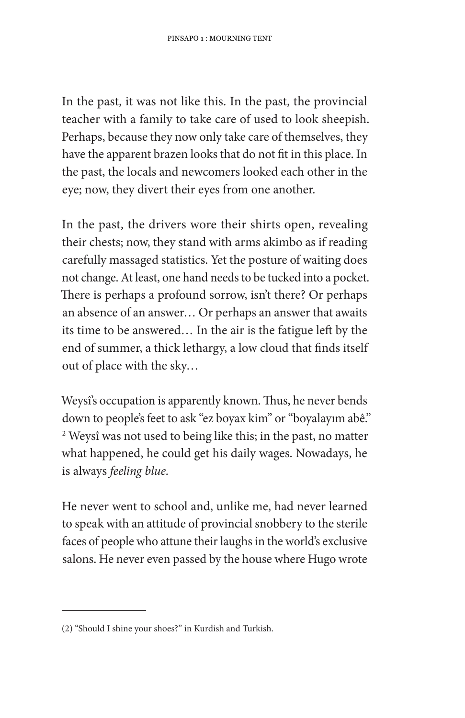In the past, it was not like this. In the past, the provincial teacher with a family to take care of used to look sheepish. Perhaps, because they now only take care of themselves, they have the apparent brazen looks that do not fit in this place. In the past, the locals and newcomers looked each other in the eye; now, they divert their eyes from one another.

In the past, the drivers wore their shirts open, revealing their chests; now, they stand with arms akimbo as if reading carefully massaged statistics. Yet the posture of waiting does not change. At least, one hand needs to be tucked into a pocket. There is perhaps a profound sorrow, isn't there? Or perhaps an absence of an answer... Or perhaps an answer that awaits its time to be answered... In the air is the fatigue left by the end of summer, a thick lethargy, a low cloud that finds itself out of place with the sky...

Weysi's occupation is apparently known. Thus, he never bends down to people's feet to ask "ez boyax kim" or "boyalayım abê." <sup>2</sup> Weysî was not used to being like this; in the past, no matter what happened, he could get his daily wages. Nowadays, he is always feeling blue.

He never went to school and, unlike me, had never learned to speak with an attitude of provincial snobbery to the sterile faces of people who attune their laughs in the world's exclusive salons. He never even passed by the house where Hugo wrote

<sup>(2) &</sup>quot;Should I shine your shoes?" in Kurdish and Turkish.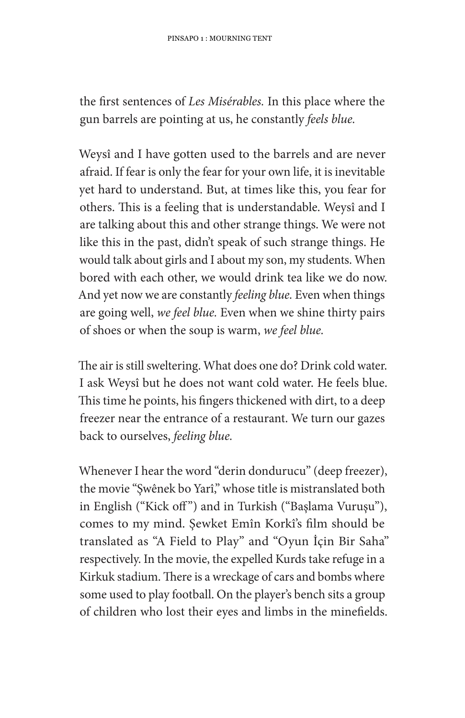the first sentences of Les Misérables. In this place where the gun barrels are pointing at us, he constantly feels blue.

Weysî and I have gotten used to the barrels and are never afraid. If fear is only the fear for your own life, it is inevitable yet hard to understand. But, at times like this, you fear for others. This is a feeling that is understandable. Weysî and I are talking about this and other strange things. We were not like this in the past, didn't speak of such strange things. He would talk about girls and I about my son, my students. When bored with each other, we would drink tea like we do now. And yet now we are constantly feeling blue. Even when things are going well, we feel blue. Even when we shine thirty pairs of shoes or when the soup is warm, we feel blue.

The air is still sweltering. What does one do? Drink cold water. I ask Weysî but he does not want cold water. He feels blue. This time he points, his fingers thickened with dirt, to a deep freezer near the entrance of a restaurant. We turn our gazes back to ourselves, feeling blue.

Whenever I hear the word "derin dondurucu" (deep freezer), the movie "Swênek bo Yarî," whose title is mistranslated both in English ("Kick off") and in Turkish ("Başlama Vuruşu"), comes to my mind. Sewket Emîn Korkî's film should be translated as "A Field to Play" and "Oyun İçin Bir Saha" respectively. In the movie, the expelled Kurds take refuge in a Kirkuk stadium. There is a wreckage of cars and bombs where some used to play football. On the player's bench sits a group of children who lost their eyes and limbs in the minefields.